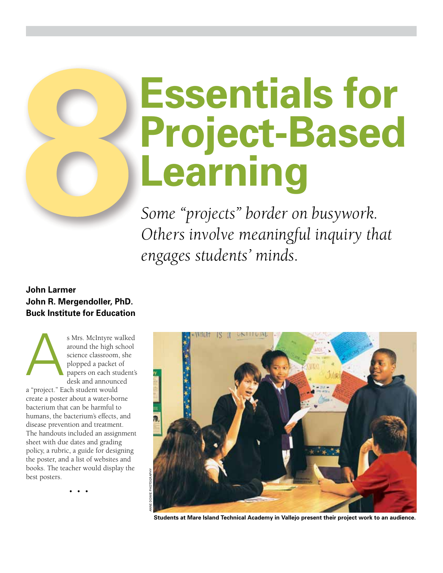# **Essentials for Project-Based Learning**

*Some "projects" border on busywork. Others involve meaningful inquiry that engages students' minds.*

# **John Larmer John R. Mergendoller, PhD. Buck Institute for Education**

s Mrs. McIntyre walked around the high school science classroom, she plopped a packet of papers on each student's desk and announced a "project." Each student would create a poster about a water-borne bacterium that can be harmful to humans, the bacterium's effects, and disease prevention and treatment. The handouts included an assignment sheet with due dates and grading policy, a rubric, a guide for designing the poster, and a list of websites and books. The teacher would display the best posters.

 $\ddot{\phantom{1}}$ 



**Students at Mare Island Technical Academy in Vallejo present their project work to an audience.**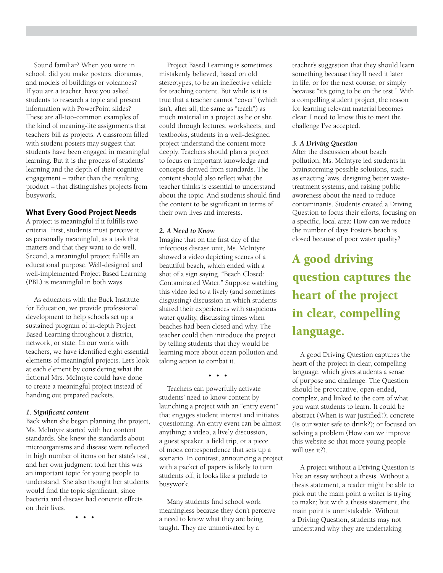Sound familiar? When you were in school, did you make posters, dioramas, and models of buildings or volcanoes? If you are a teacher, have you asked students to research a topic and present information with PowerPoint slides? These are all-too-common examples of the kind of meaning-lite assignments that teachers bill as projects. A classroom filled with student posters may suggest that students have been engaged in meaningful learning. But it is the process of students' learning and the depth of their cognitive engagement – rather than the resulting product – that distinguishes projects from busywork.

# **What Every Good Project Needs**

A project is meaningful if it fulfills two criteria. First, students must perceive it as personally meaningful, as a task that matters and that they want to do well. Second, a meaningful project fulfills an educational purpose. Well-designed and well-implemented Project Based Learning (PBL) is meaningful in both ways.

As educators with the Buck Institute for Education, we provide professional development to help schools set up a sustained program of in-depth Project Based Learning throughout a district, network, or state. In our work with teachers, we have identified eight essential elements of meaningful projects. Let's look at each element by considering what the fictional Mrs. McIntyre could have done to create a meaningful project instead of handing out prepared packets.

# *1. Significant content*

Back when she began planning the project, Ms. McIntyre started with her content standards. She knew the standards about microorganisms and disease were reflected in high number of items on her state's test, and her own judgment told her this was an important topic for young people to understand. She also thought her students would find the topic significant, since bacteria and disease had concrete effects on their lives.

 $\ddot{\phantom{1}}$ 

Project Based Learning is sometimes mistakenly believed, based on old stereotypes, to be an ineffective vehicle for teaching content. But while is it is true that a teacher cannot "cover" (which isn't, after all, the same as "teach") as much material in a project as he or she could through lectures, worksheets, and textbooks, students in a well-designed project understand the content more deeply. Teachers should plan a project to focus on important knowledge and concepts derived from standards. The content should also reflect what the teacher thinks is essential to understand about the topic. And students should find the content to be significant in terms of their own lives and interests.

# *2. A Need to Know*

Imagine that on the first day of the infectious disease unit, Ms. McIntyre showed a video depicting scenes of a beautiful beach, which ended with a shot of a sign saying, "Beach Closed: Contaminated Water." Suppose watching this video led to a lively (and sometimes disgusting) discussion in which students shared their experiences with suspicious water quality, discussing times when beaches had been closed and why. The teacher could then introduce the project by telling students that they would be learning more about ocean pollution and taking action to combat it.

 $\ddot{\phantom{1}}$ 

Teachers can powerfully activate students' need to know content by launching a project with an "entry event" that engages student interest and initiates questioning. An entry event can be almost anything: a video, a lively discussion, a guest speaker, a field trip, or a piece of mock correspondence that sets up a scenario. In contrast, announcing a project with a packet of papers is likely to turn students off; it looks like a prelude to busywork.

Many students find school work meaningless because they don't perceive a need to know what they are being taught. They are unmotivated by a

teacher's suggestion that they should learn something because they'll need it later in life, or for the next course, or simply because "it's going to be on the test." With a compelling student project, the reason for learning relevant material becomes clear: I need to know this to meet the challenge I've accepted.

#### *3. A Driving Question*

After the discussion about beach pollution, Ms. McIntyre led students in brainstorming possible solutions, such as enacting laws, designing better wastetreatment systems, and raising public awareness about the need to reduce contaminants. Students created a Driving Question to focus their efforts, focusing on a specific, local area: How can we reduce the number of days Foster's beach is closed because of poor water quality?

A good driving question captures the heart of the project in clear, compelling language.

A good Driving Question captures the heart of the project in clear, compelling language, which gives students a sense of purpose and challenge. The Question should be provocative, open-ended, complex, and linked to the core of what you want students to learn. It could be abstract (When is war justified?); concrete (Is our water safe to drink?); or focused on solving a problem (How can we improve this website so that more young people will use it?).

A project without a Driving Question is like an essay without a thesis. Without a thesis statement, a reader might be able to pick out the main point a writer is trying to make; but with a thesis statement, the main point is unmistakable. Without a Driving Question, students may not understand why they are undertaking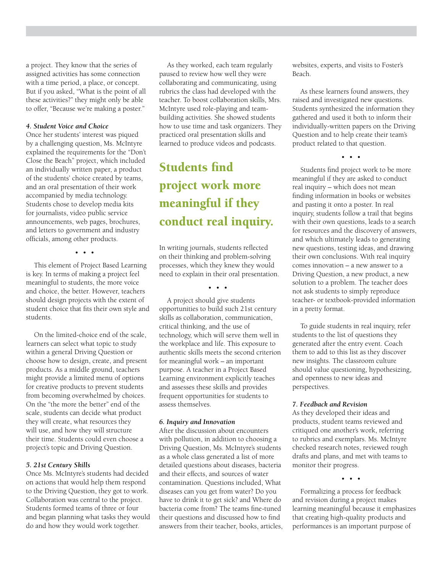a project. They know that the series of assigned activities has some connection with a time period, a place, or concept. But if you asked, "What is the point of all these activities?" they might only be able to offer, "Because we're making a poster."

#### *4. Student Voice and Choice*

Once her students' interest was piqued by a challenging question, Ms. McIntyre explained the requirements for the "Don't Close the Beach" project, which included an individually written paper, a product of the students' choice created by teams, and an oral presentation of their work accompanied by media technology. Students chose to develop media kits for journalists, video public service announcements, web pages, brochures, and letters to government and industry officials, among other products.

 $\ddot{\phantom{1}}$ 

This element of Project Based Learning is key. In terms of making a project feel meaningful to students, the more voice and choice, the better. However, teachers should design projects with the extent of student choice that fits their own style and students.

On the limited-choice end of the scale, learners can select what topic to study within a general Driving Question or choose how to design, create, and present products. As a middle ground, teachers might provide a limited menu of options for creative products to prevent students from becoming overwhelmed by choices. On the "the more the better" end of the scale, students can decide what product they will create, what resources they will use, and how they will structure their time. Students could even choose a project's topic and Driving Question.

# *5. 21st Century Skills*

Once Ms. McIntyre's students had decided on actions that would help them respond to the Driving Question, they got to work. Collaboration was central to the project. Students formed teams of three or four and began planning what tasks they would do and how they would work together.

As they worked, each team regularly paused to review how well they were collaborating and communicating, using rubrics the class had developed with the teacher. To boost collaboration skills, Mrs. McIntyre used role-playing and teambuilding activities. She showed students how to use time and task organizers. They practiced oral presentation skills and learned to produce videos and podcasts.

# Students find project work more meaningful if they conduct real inquiry.

In writing journals, students reflected on their thinking and problem-solving processes, which they knew they would need to explain in their oral presentation.

 $\ddot{\phantom{1}}$ 

A project should give students opportunities to build such 21st century skills as collaboration, communication, critical thinking, and the use of technology, which will serve them well in the workplace and life. This exposure to authentic skills meets the second criterion for meaningful work – an important purpose. A teacher in a Project Based Learning environment explicitly teaches and assesses these skills and provides frequent opportunities for students to assess themselves.

# *6. Inquiry and Innovation*

After the discussion about encounters with pollution, in addition to choosing a Driving Question, Ms. McIntyre's students as a whole class generated a list of more detailed questions about diseases, bacteria and their effects, and sources of water contamination. Questions included, What diseases can you get from water? Do you have to drink it to get sick? and Where do bacteria come from? The teams fine-tuned their questions and discussed how to find answers from their teacher, books, articles, websites, experts, and visits to Foster's Beach.

As these learners found answers, they raised and investigated new questions. Students synthesized the information they gathered and used it both to inform their individually-written papers on the Driving Question and to help create their team's product related to that question.

 $\ddot{\phantom{1}}$ 

Students find project work to be more meaningful if they are asked to conduct real inquiry – which does not mean finding information in books or websites and pasting it onto a poster. In real inquiry, students follow a trail that begins with their own questions, leads to a search for resources and the discovery of answers, and which ultimately leads to generating new questions, testing ideas, and drawing their own conclusions. With real inquiry comes innovation – a new answer to a Driving Question, a new product, a new solution to a problem. The teacher does not ask students to simply reproduce teacher- or textbook-provided information in a pretty format.

To guide students in real inquiry, refer students to the list of questions they generated after the entry event. Coach them to add to this list as they discover new insights. The classroom culture should value questioning, hypothesizing, and openness to new ideas and perspectives.

#### *7. Feedback and Revision*

As they developed their ideas and products, student teams reviewed and critiqued one another's work, referring to rubrics and exemplars. Ms. McIntyre checked research notes, reviewed rough drafts and plans, and met with teams to monitor their progress.

 $\bullet$   $\bullet$   $\bullet$ 

Formalizing a process for feedback and revision during a project makes learning meaningful because it emphasizes that creating high-quality products and performances is an important purpose of